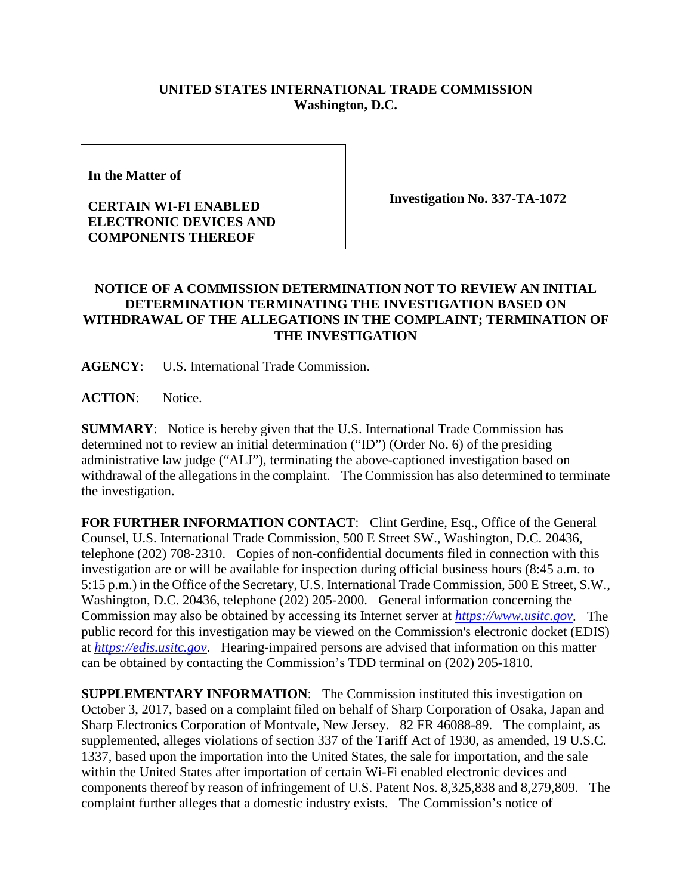## **UNITED STATES INTERNATIONAL TRADE COMMISSION Washington, D.C.**

**In the Matter of** 

## **CERTAIN WI-FI ENABLED ELECTRONIC DEVICES AND COMPONENTS THEREOF**

**Investigation No. 337-TA-1072**

## **NOTICE OF A COMMISSION DETERMINATION NOT TO REVIEW AN INITIAL DETERMINATION TERMINATING THE INVESTIGATION BASED ON WITHDRAWAL OF THE ALLEGATIONS IN THE COMPLAINT; TERMINATION OF THE INVESTIGATION**

**AGENCY**: U.S. International Trade Commission.

**ACTION**: Notice.

**SUMMARY**: Notice is hereby given that the U.S. International Trade Commission has determined not to review an initial determination ("ID") (Order No. 6) of the presiding administrative law judge ("ALJ"), terminating the above-captioned investigation based on withdrawal of the allegations in the complaint. The Commission has also determined to terminate the investigation.

**FOR FURTHER INFORMATION CONTACT**: Clint Gerdine, Esq., Office of the General Counsel, U.S. International Trade Commission, 500 E Street SW., Washington, D.C. 20436, telephone (202) 708-2310. Copies of non-confidential documents filed in connection with this investigation are or will be available for inspection during official business hours (8:45 a.m. to 5:15 p.m.) in the Office of the Secretary, U.S. International Trade Commission, 500 E Street, S.W., Washington, D.C. 20436, telephone (202) 205-2000. General information concerning the Commission may also be obtained by accessing its Internet server at *[https://www.usitc.gov](https://www.usitc.gov/)*. The public record for this investigation may be viewed on the Commission's electronic docket (EDIS) at *[https://edis.usitc.gov](https://edis.usitc.gov/)*. Hearing-impaired persons are advised that information on this matter can be obtained by contacting the Commission's TDD terminal on (202) 205-1810.

**SUPPLEMENTARY INFORMATION**: The Commission instituted this investigation on October 3, 2017, based on a complaint filed on behalf of Sharp Corporation of Osaka, Japan and Sharp Electronics Corporation of Montvale, New Jersey. 82 FR 46088-89. The complaint, as supplemented, alleges violations of section 337 of the Tariff Act of 1930, as amended, 19 U.S.C. 1337, based upon the importation into the United States, the sale for importation, and the sale within the United States after importation of certain Wi-Fi enabled electronic devices and components thereof by reason of infringement of U.S. Patent Nos. 8,325,838 and 8,279,809. The complaint further alleges that a domestic industry exists. The Commission's notice of